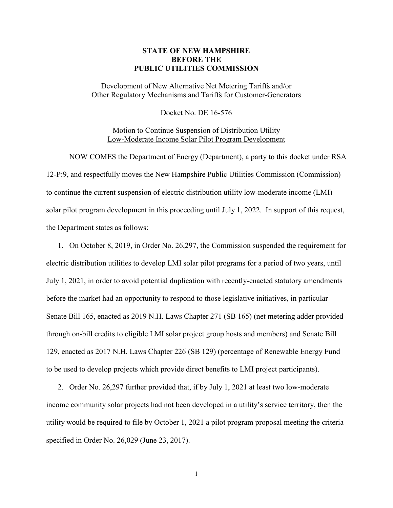## **STATE OF NEW HAMPSHIRE BEFORE THE PUBLIC UTILITIES COMMISSION**

Development of New Alternative Net Metering Tariffs and/or Other Regulatory Mechanisms and Tariffs for Customer-Generators

Docket No. DE 16-576

Motion to Continue Suspension of Distribution Utility Low-Moderate Income Solar Pilot Program Development

NOW COMES the Department of Energy (Department), a party to this docket under RSA 12-P:9, and respectfully moves the New Hampshire Public Utilities Commission (Commission) to continue the current suspension of electric distribution utility low-moderate income (LMI) solar pilot program development in this proceeding until July 1, 2022. In support of this request, the Department states as follows:

1. On October 8, 2019, in Order No. 26,297, the Commission suspended the requirement for electric distribution utilities to develop LMI solar pilot programs for a period of two years, until July 1, 2021, in order to avoid potential duplication with recently-enacted statutory amendments before the market had an opportunity to respond to those legislative initiatives, in particular Senate Bill 165, enacted as 2019 N.H. Laws Chapter 271 (SB 165) (net metering adder provided through on-bill credits to eligible LMI solar project group hosts and members) and Senate Bill 129, enacted as 2017 N.H. Laws Chapter 226 (SB 129) (percentage of Renewable Energy Fund to be used to develop projects which provide direct benefits to LMI project participants).

2. Order No. 26,297 further provided that, if by July 1, 2021 at least two low-moderate income community solar projects had not been developed in a utility's service territory, then the utility would be required to file by October 1, 2021 a pilot program proposal meeting the criteria specified in Order No. 26,029 (June 23, 2017).

1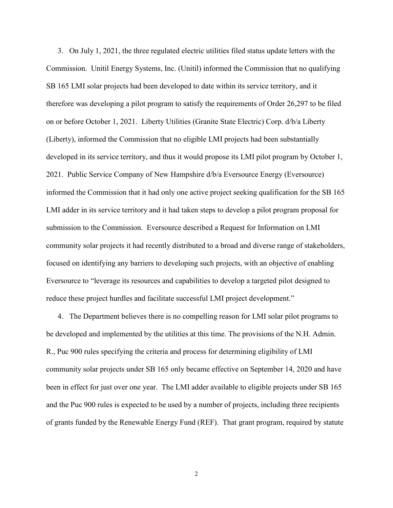3. On July 1, 2021, the three regulated electric utilities filed status update letters with the Commission. Unitil Energy Systems, Inc. (Unitil) informed the Commission that no qualifying SB 165 LMI solar projects had been developed to date within its service territory, and it therefore was developing a pilot program to satisfy the requirements of Order 26,297 to be filed on or before October 1, 2021. Liberty Utilities (Granite State Electric) Corp. d/b/a Liberty (Liberty), informed the Commission that no eligible LMI projects had been substantially developed in its service territory, and thus it would propose its LMI pilot program by October 1, 2021. Public Service Company of New Hampshire d/b/a Eversource Energy (Eversource) informed the Commission that it had only one active project seeking qualification for the SB 165 LMI adder in its service territory and it had taken steps to develop a pilot program proposal for submission to the Commission. Eversource described a Request for Information on LMI community solar projects it had recently distributed to a broad and diverse range of stakeholders, focused on identifying any barriers to developing such projects, with an objective of enabling Eversource to "leverage its resources and capabilities to develop a targeted pilot designed to reduce these project hurdles and facilitate successful LMI project development."

4. The Department believes there is no compelling reason for LMI solar pilot programs to be developed and implemented by the utilities at this time. The provisions of the N.H. Admin. R., Puc 900 rules specifying the criteria and process for determining eligibility of LMI community solar projects under SB 165 only became effective on September 14, 2020 and have been in effect for just over one year. The LMI adder available to eligible projects under SB 165 and the Puc 900 rules is expected to be used by a number of projects, including three recipients of grants funded by the Renewable Energy Fund (REF). That grant program, required by statute

2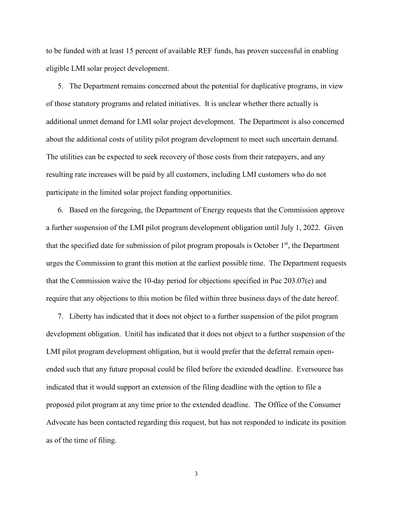to be funded with at least 15 percent of available REF funds, has proven successful in enabling eligible LMI solar project development.

5. The Department remains concerned about the potential for duplicative programs, in view of those statutory programs and related initiatives. It is unclear whether there actually is additional unmet demand for LMI solar project development. The Department is also concerned about the additional costs of utility pilot program development to meet such uncertain demand. The utilities can be expected to seek recovery of those costs from their ratepayers, and any resulting rate increases will be paid by all customers, including LMI customers who do not participate in the limited solar project funding opportunities.

6. Based on the foregoing, the Department of Energy requests that the Commission approve a further suspension of the LMI pilot program development obligation until July 1, 2022. Given that the specified date for submission of pilot program proposals is October  $1<sup>st</sup>$ , the Department urges the Commission to grant this motion at the earliest possible time. The Department requests that the Commission waive the 10-day period for objections specified in Puc 203.07(e) and require that any objections to this motion be filed within three business days of the date hereof.

7. Liberty has indicated that it does not object to a further suspension of the pilot program development obligation. Unitil has indicated that it does not object to a further suspension of the LMI pilot program development obligation, but it would prefer that the deferral remain openended such that any future proposal could be filed before the extended deadline. Eversource has indicated that it would support an extension of the filing deadline with the option to file a proposed pilot program at any time prior to the extended deadline. The Office of the Consumer Advocate has been contacted regarding this request, but has not responded to indicate its position as of the time of filing.

3